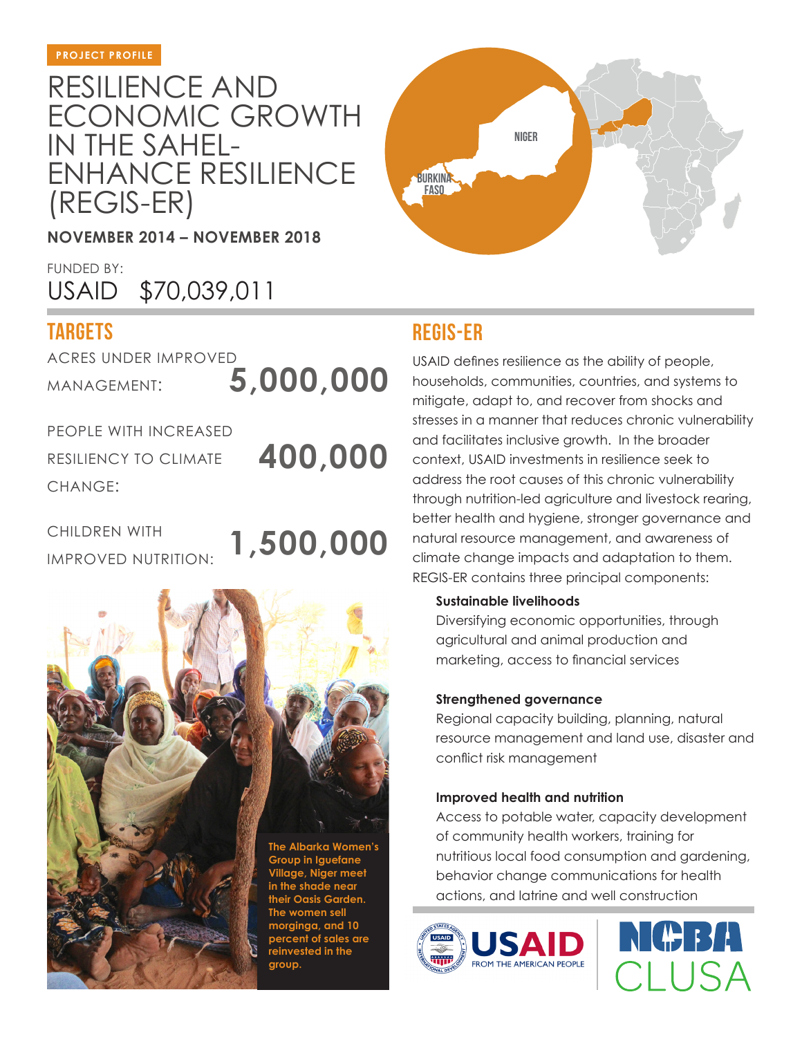# RESILIENCE AND ECONOMIC GROWTH IN THE SAHEL-ENHANCE RESILIENCE (REGIS-ER)

**NOVEMBER 2014 – NOVEMBER 2018**

FUNDED BY: USAID \$70,039,011

## **targets**

ACRES UNDER IMPROVED MANAGEMENT:

**5,000,000**

PEOPLE WITH INCREASED RESILIENCY TO CLIMATE CHANGE:

**400,000**

CHILDREN WITH IMPROVED NUTRITION: **1,500,000**



**group.**



### **regis-er**

USAID defines resilience as the ability of people, households, communities, countries, and systems to mitigate, adapt to, and recover from shocks and stresses in a manner that reduces chronic vulnerability and facilitates inclusive growth. In the broader context, USAID investments in resilience seek to address the root causes of this chronic vulnerability through nutrition-led agriculture and livestock rearing, better health and hygiene, stronger governance and natural resource management, and awareness of climate change impacts and adaptation to them. REGIS-ER contains three principal components:

#### **Sustainable livelihoods**

Diversifying economic opportunities, through agricultural and animal production and marketing, access to financial services

#### **Strengthened governance**

Regional capacity building, planning, natural resource management and land use, disaster and conflict risk management

#### **Improved health and nutrition**

Access to potable water, capacity development of community health workers, training for nutritious local food consumption and gardening, behavior change communications for health actions, and latrine and well construction